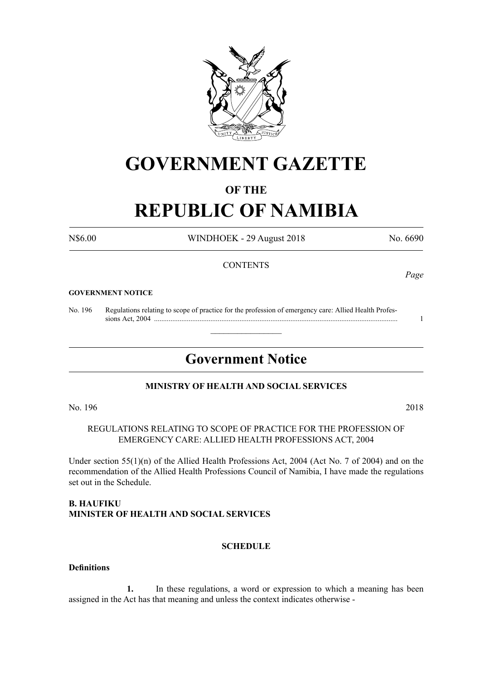

## **GOVERNMENT GAZETTE**

#### **OF THE**

# **REPUBLIC OF NAMIBIA**

N\$6.00 WINDHOEK - 29 August 2018 No. 6690

#### **CONTENTS**

#### **GOVERNMENT NOTICE**

No. 196 Regulations relating to scope of practice for the profession of emergency care: Allied Health Profes sions Act, 2004 ...................................................................................................................................... 1

### **Government Notice**

 $\overline{\phantom{a}}$  , where  $\overline{\phantom{a}}$ 

#### **MINISTRY OF HEALTH AND SOCIAL SERVICES**

No. 196 2018

#### REGULATIONS RELATING TO SCOPE OF PRACTICE FOR THE PROFESSION OF EMERGENCY CARE: ALLIED HEALTH PROFESSIONS ACT, 2004

Under section 55(1)(n) of the Allied Health Professions Act, 2004 (Act No. 7 of 2004) and on the recommendation of the Allied Health Professions Council of Namibia, I have made the regulations set out in the Schedule.

#### **B. HAUFIKU MINISTER OF HEALTH AND SOCIAL SERVICES**

#### **SCHEDULE**

#### **Definitions**

**1.** In these regulations, a word or expression to which a meaning has been assigned in the Act has that meaning and unless the context indicates otherwise -

*Page*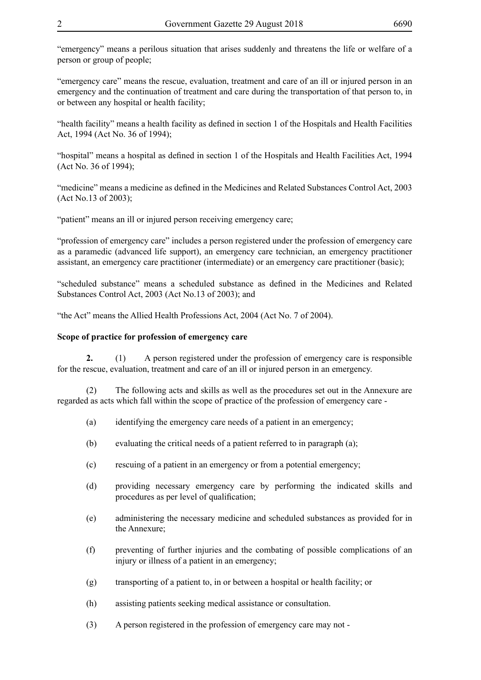"emergency" means a perilous situation that arises suddenly and threatens the life or welfare of a person or group of people;

"emergency care" means the rescue, evaluation, treatment and care of an ill or injured person in an emergency and the continuation of treatment and care during the transportation of that person to, in or between any hospital or health facility;

"health facility" means a health facility as defined in section 1 of the Hospitals and Health Facilities Act, 1994 (Act No. 36 of 1994);

"hospital" means a hospital as defined in section 1 of the Hospitals and Health Facilities Act, 1994 (Act No. 36 of 1994);

"medicine" means a medicine as defined in the Medicines and Related Substances Control Act, 2003 (Act No.13 of 2003);

"patient" means an ill or injured person receiving emergency care;

"profession of emergency care" includes a person registered under the profession of emergency care as a paramedic (advanced life support), an emergency care technician, an emergency practitioner assistant, an emergency care practitioner (intermediate) or an emergency care practitioner (basic);

"scheduled substance" means a scheduled substance as defined in the Medicines and Related Substances Control Act, 2003 (Act No.13 of 2003); and

"the Act" means the Allied Health Professions Act, 2004 (Act No. 7 of 2004).

#### **Scope of practice for profession of emergency care**

**2.** (1) A person registered under the profession of emergency care is responsible for the rescue, evaluation, treatment and care of an ill or injured person in an emergency.

(2) The following acts and skills as well as the procedures set out in the Annexure are regarded as acts which fall within the scope of practice of the profession of emergency care -

- (a) identifying the emergency care needs of a patient in an emergency;
- (b) evaluating the critical needs of a patient referred to in paragraph (a);
- (c) rescuing of a patient in an emergency or from a potential emergency;
- (d) providing necessary emergency care by performing the indicated skills and procedures as per level of qualification;
- (e) administering the necessary medicine and scheduled substances as provided for in the Annexure;
- (f) preventing of further injuries and the combating of possible complications of an injury or illness of a patient in an emergency;
- (g) transporting of a patient to, in or between a hospital or health facility; or
- (h) assisting patients seeking medical assistance or consultation.
- (3) A person registered in the profession of emergency care may not -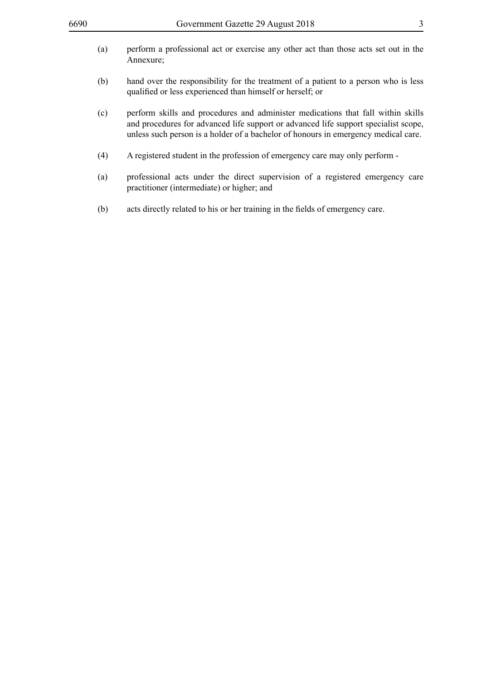| (a) | perform a professional act or exercise any other act than those acts set out in the<br>Annexure;                                                                                                                                                              |
|-----|---------------------------------------------------------------------------------------------------------------------------------------------------------------------------------------------------------------------------------------------------------------|
| (b) | hand over the responsibility for the treatment of a patient to a person who is less<br>qualified or less experienced than himself or herself; or                                                                                                              |
| (c) | perform skills and procedures and administer medications that fall within skills<br>and procedures for advanced life support or advanced life support specialist scope,<br>unless such person is a holder of a bachelor of honours in emergency medical care. |
| (4) | A registered student in the profession of emergency care may only perform -                                                                                                                                                                                   |
| (a) | professional acts under the direct supervision of a registered emergency care<br>practitioner (intermediate) or higher; and                                                                                                                                   |
| (b) | acts directly related to his or her training in the fields of emergency care.                                                                                                                                                                                 |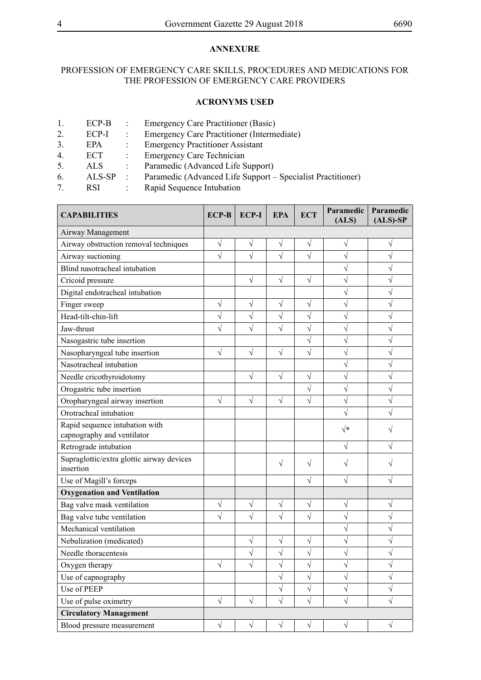#### **ANNEXURE**

#### PROFESSION OF EMERGENCY CARE SKILLS, PROCEDURES AND MEDICATIONS FOR THE PROFESSION OF EMERGENCY CARE PROVIDERS

#### **ACRONYMS USED**

- 1. ECP-B : Emergency Care Practitioner (Basic)
- 2. ECP-I : Emergency Care Practitioner (Intermediate)
- 3. EPA : Emergency Practitioner Assistant
- 4. ECT : Emergency Care Technician
- 5. ALS : Paramedic (Advanced Life Support)
- 6. ALS-SP : Paramedic (Advanced Life Support Specialist Practitioner)
- 7. RSI : Rapid Sequence Intubation

| <b>CAPABILITIES</b>                                          | <b>ECP-B</b> | <b>ECP-I</b> | <b>EPA</b> | <b>ECT</b> | Paramedic<br>(ALS) | Paramedic<br>$(ALS)$ -SP |
|--------------------------------------------------------------|--------------|--------------|------------|------------|--------------------|--------------------------|
| Airway Management                                            |              |              |            |            |                    |                          |
| Airway obstruction removal techniques                        | $\sqrt{}$    | V            | V          | V          | V                  |                          |
| Airway suctioning                                            |              | $\sqrt{}$    | $\sqrt{ }$ |            | V                  |                          |
| Blind nasotracheal intubation                                |              |              |            |            | ٦                  |                          |
| Cricoid pressure                                             |              | $\sqrt{}$    | $\sqrt{}$  | V          | V                  | V                        |
| Digital endotracheal intubation                              |              |              |            |            | V                  | V                        |
| Finger sweep                                                 | V            | $\sqrt{}$    | $\sqrt{}$  | V          | V                  | $\sqrt{}$                |
| Head-tilt-chin-lift                                          | $\sqrt{}$    | $\sqrt{}$    | $\sqrt{}$  | V          | V                  | $\sqrt{}$                |
| Jaw-thrust                                                   | $\sqrt{}$    | V            | $\sqrt{}$  |            | V                  | V                        |
| Nasogastric tube insertion                                   |              |              |            |            | V                  | V                        |
| Nasopharyngeal tube insertion                                | $\sqrt{}$    | $\sqrt{}$    | $\sqrt{}$  |            | V                  |                          |
| Nasotracheal intubation                                      |              |              |            |            | V                  | $\sqrt{}$                |
| Needle cricothyroidotomy                                     |              | $\sqrt{}$    | $\sqrt{}$  | V          | V                  | V                        |
| Orogastric tube insertion                                    |              |              |            |            | $\sqrt{}$          | $\sqrt{}$                |
| Oropharyngeal airway insertion                               | V            | $\sqrt{}$    | $\sqrt{}$  |            | V                  | $\sqrt{}$                |
| Orotracheal intubation                                       |              |              |            |            |                    |                          |
| Rapid sequence intubation with<br>capnography and ventilator |              |              |            |            | $\sqrt{*}$         |                          |
| Retrograde intubation                                        |              |              |            |            | $\sqrt{}$          | $\sqrt{}$                |
| Supraglottic/extra glottic airway devices<br>insertion       |              |              | $\sqrt{}$  | $\sqrt{}$  | V                  | V                        |
| Use of Magill's forceps                                      |              |              |            |            | $\sqrt{}$          | $\sqrt{}$                |
| <b>Oxygenation and Ventilation</b>                           |              |              |            |            |                    |                          |
| Bag valve mask ventilation                                   | $\sqrt{}$    | $\sqrt{}$    | V          | $\sqrt{}$  | $\sqrt{}$          | $\sqrt{}$                |
| Bag valve tube ventilation                                   |              | $\sqrt{}$    |            |            | V                  |                          |
| Mechanical ventilation                                       |              |              |            |            | $\sqrt{}$          | $\sqrt{}$                |
| Nebulization (medicated)                                     |              | V            | V          |            | V                  |                          |
| Needle thoracentesis                                         |              | $\sqrt{}$    | $\sqrt{}$  |            | ٦                  |                          |
| Oxygen therapy                                               | $\sqrt{}$    |              |            |            |                    |                          |
| Use of capnography                                           |              |              | $\sqrt{}$  | $\sqrt{}$  | $\sqrt{}$          | $\sqrt{}$                |
| Use of PEEP                                                  |              |              | $\sqrt{}$  | $\sqrt{}$  | $\sqrt{}$          | V                        |
| Use of pulse oximetry                                        | $\sqrt{}$    | $\sqrt{ }$   | $\sqrt{}$  | $\sqrt{}$  | $\sqrt{}$          | $\sqrt{}$                |
| <b>Circulatory Management</b>                                |              |              |            |            |                    |                          |
| Blood pressure measurement                                   | $\sqrt{}$    | $\sqrt{}$    | $\sqrt{}$  | $\sqrt{}$  | $\sqrt{}$          | $\sqrt{}$                |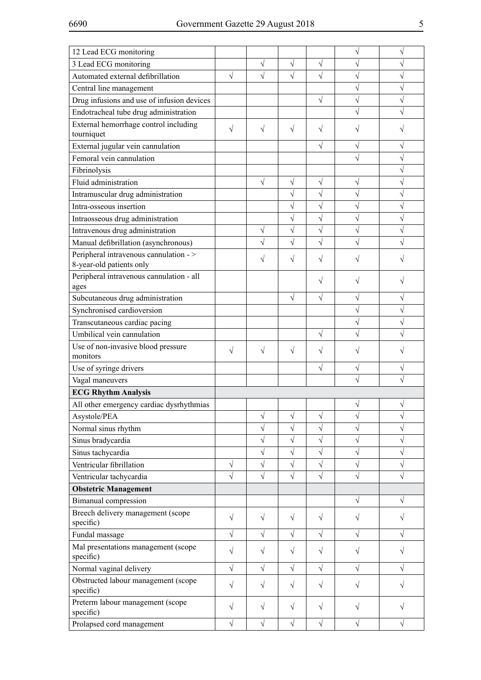| 12 Lead ECG monitoring                                            |           |           |           |           |           |            |
|-------------------------------------------------------------------|-----------|-----------|-----------|-----------|-----------|------------|
| 3 Lead ECG monitoring                                             |           | V         | V         |           | V         |            |
| Automated external defibrillation                                 | V         | V         | $\sqrt{}$ |           | N         | V          |
| Central line management                                           |           |           |           |           | V         | V          |
| Drug infusions and use of infusion devices                        |           |           |           | V         | V         | ν          |
| Endotracheal tube drug administration                             |           |           |           |           |           |            |
| External hemorrhage control including<br>tourniquet               | $\sqrt{}$ | V         | V         | V         |           |            |
| External jugular vein cannulation                                 |           |           |           |           | V         | V          |
| Femoral vein cannulation                                          |           |           |           |           |           | V          |
| Fibrinolysis                                                      |           |           |           |           |           |            |
| Fluid administration                                              |           | V         | $\sqrt{}$ | $\sqrt{}$ | V         |            |
| Intramuscular drug administration                                 |           |           | $\sqrt{}$ | $\sqrt{}$ | V         | $\sqrt{}$  |
| Intra-osseous insertion                                           |           |           | $\sqrt{}$ | V         | V         | V          |
| Intraosseous drug administration                                  |           |           | $\sqrt{}$ | $\sqrt{}$ | V         | $\sqrt{}$  |
| Intravenous drug administration                                   |           | $\sqrt{}$ | $\sqrt{}$ | $\sqrt{}$ | V         | $\sqrt{}$  |
| Manual defibrillation (asynchronous)                              |           | $\sqrt{}$ | $\sqrt{}$ |           |           |            |
| Peripheral intravenous cannulation -><br>8-year-old patients only |           | V         | V         | V         |           |            |
| Peripheral intravenous cannulation - all<br>ages                  |           |           |           |           |           |            |
| Subcutaneous drug administration                                  |           |           | $\sqrt{}$ | V         | V         | V          |
| Synchronised cardioversion                                        |           |           |           |           | V         | $\sqrt{2}$ |
| Transcutaneous cardiac pacing                                     |           |           |           |           |           | $\sqrt{}$  |
| Umbilical vein cannulation                                        |           |           |           | $\sqrt{}$ |           |            |
| Use of non-invasive blood pressure<br>monitors                    | V         | $\sqrt{}$ | $\sqrt{}$ | V         |           |            |
| Use of syringe drivers                                            |           |           |           | $\sqrt{}$ | V         | V          |
| Vagal maneuvers                                                   |           |           |           |           |           |            |
| <b>ECG Rhythm Analysis</b>                                        |           |           |           |           |           |            |
| All other emergency cardiac dysrhythmias                          |           |           |           |           |           |            |
| Asystole/PEA                                                      |           | $\sqrt{}$ | $\sqrt{}$ | $\sqrt{}$ | V         | V          |
| Normal sinus rhythm                                               |           | $\sqrt{}$ | $\sqrt{}$ | $\sqrt{}$ | V         | V          |
| Sinus bradycardia                                                 |           | $\sqrt{}$ | $\sqrt{}$ | $\sqrt{}$ | $\sqrt{}$ | $\sqrt{}$  |
| Sinus tachycardia                                                 |           | $\sqrt{}$ | V         | $\sqrt{}$ | V         | V          |
| Ventricular fibrillation                                          | $\sqrt{}$ | $\sqrt{}$ | $\sqrt{}$ | $\sqrt{}$ | V         | $\sqrt{}$  |
| Ventricular tachycardia                                           | $\sqrt{}$ | $\sqrt{}$ | V         | $\sqrt{}$ | Ń         | V          |
| <b>Obstetric Management</b>                                       |           |           |           |           |           |            |
| <b>Bimanual</b> compression                                       |           |           |           |           | V         | V          |
| Breech delivery management (scope<br>specific)                    | $\sqrt{}$ | $\sqrt{}$ | V         | V         |           |            |
| Fundal massage                                                    | $\sqrt{}$ | $\sqrt{}$ | V         | $\sqrt{}$ | V         | V          |
| Mal presentations management (scope<br>specific)                  | $\sqrt{}$ | $\sqrt{}$ | $\sqrt{}$ | $\sqrt{}$ | V         |            |
| Normal vaginal delivery                                           | $\sqrt{}$ | $\sqrt{}$ | $\sqrt{}$ | $\sqrt{}$ | V         | V          |
| Obstructed labour management (scope<br>specific)                  | $\sqrt{}$ | V         |           | V         |           |            |
| Preterm labour management (scope<br>specific)                     | $\sqrt{}$ | $\sqrt{}$ | V         | V         | V         |            |
| Prolapsed cord management                                         | $\sqrt{}$ | $\sqrt{}$ | $\sqrt{}$ | $\sqrt{}$ | V         | V          |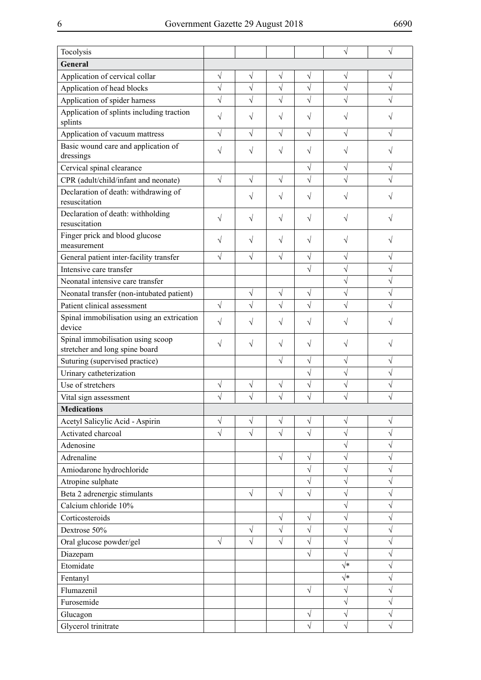| Tocolysis                                                           |            |           |            |           |            |   |
|---------------------------------------------------------------------|------------|-----------|------------|-----------|------------|---|
| General                                                             |            |           |            |           |            |   |
| Application of cervical collar                                      | $\sqrt{}$  | V         | $\sqrt{}$  | $\sqrt{}$ | $\sqrt{}$  | V |
| Application of head blocks                                          | $\sqrt{}$  | $\sqrt{}$ | $\sqrt{}$  | $\sqrt{}$ | $\sqrt{}$  |   |
| Application of spider harness                                       | $\sqrt{}$  | V         | V          | $\sqrt{}$ |            |   |
| Application of splints including traction                           | V          | V         | N          | V         |            |   |
| splints                                                             |            |           |            |           |            |   |
| Application of vacuum mattress                                      | $\sqrt{}$  | N         | $\sqrt{ }$ | $\sqrt{}$ | V          |   |
| Basic wound care and application of<br>dressings                    | V          | $\sqrt{}$ | $\sqrt{}$  | V         |            |   |
| Cervical spinal clearance                                           |            |           |            | $\sqrt{}$ | V          | V |
| CPR (adult/child/infant and neonate)                                | $\sqrt{}$  | $\sqrt{}$ | $\sqrt{}$  | $\sqrt{}$ |            |   |
| Declaration of death: withdrawing of<br>resuscitation               |            | V         | $\sqrt{ }$ | V         | V          |   |
| Declaration of death: withholding<br>resuscitation                  | $\sqrt{}$  | $\sqrt{}$ | $\sqrt{ }$ | V         | V          |   |
| Finger prick and blood glucose<br>measurement                       | V          | $\sqrt{}$ | $\sqrt{ }$ | V         | V          |   |
| General patient inter-facility transfer                             | $\sqrt{}$  | $\sqrt{}$ | $\sqrt{ }$ | $\sqrt{}$ | $\sqrt{}$  | V |
| Intensive care transfer                                             |            |           |            | N         | $\sqrt{}$  | V |
| Neonatal intensive care transfer                                    |            |           |            |           | $\sqrt{}$  |   |
| Neonatal transfer (non-intubated patient)                           |            | V         | $\sqrt{}$  | V         | V          |   |
| Patient clinical assessment                                         | $\sqrt{ }$ | $\sqrt{}$ | $\sqrt{}$  | $\sqrt{}$ | $\sqrt{}$  |   |
| Spinal immobilisation using an extrication<br>device                | $\sqrt{}$  | V         | $\sqrt{ }$ | V         |            |   |
| Spinal immobilisation using scoop<br>stretcher and long spine board | $\sqrt{}$  | $\sqrt{}$ | $\sqrt{ }$ | V         | V          |   |
| Suturing (supervised practice)                                      |            |           | $\sqrt{}$  | $\sqrt{}$ | V          | V |
| Urinary catheterization                                             |            |           |            | $\sqrt{}$ | $\sqrt{}$  |   |
| Use of stretchers                                                   | $\sqrt{}$  | $\sqrt{}$ | $\sqrt{}$  | $\sqrt{}$ | V          |   |
| Vital sign assessment                                               |            |           |            |           |            |   |
| <b>Medications</b>                                                  |            |           |            |           |            |   |
| Acetyl Salicylic Acid - Aspirin                                     | $\sqrt{}$  | $\sqrt{}$ | $\sqrt{}$  | $\sqrt{}$ | $\sqrt{}$  |   |
| Activated charcoal                                                  | V          | V         |            |           | $\sqrt{}$  |   |
| Adenosine                                                           |            |           |            |           | V          |   |
| Adrenaline                                                          |            |           | $\sqrt{}$  | V         | $\sqrt{}$  |   |
| Amiodarone hydrochloride                                            |            |           |            | $\sqrt{}$ | $\sqrt{}$  |   |
| Atropine sulphate                                                   |            |           |            | $\sqrt{}$ | $\sqrt{}$  | V |
| Beta 2 adrenergic stimulants                                        |            | $\sqrt{}$ | $\sqrt{}$  | $\sqrt{}$ | V          |   |
| Calcium chloride 10%                                                |            |           |            |           | $\sqrt{}$  |   |
| Corticosteroids                                                     |            |           | $\sqrt{}$  | $\sqrt{}$ | $\sqrt{}$  |   |
| Dextrose 50%                                                        |            | $\sqrt{}$ | $\sqrt{}$  | V         | $\sqrt{}$  | V |
| Oral glucose powder/gel                                             | $\sqrt{}$  | $\sqrt{}$ | $\sqrt{}$  | $\sqrt{}$ | V          |   |
| Diazepam                                                            |            |           |            | $\sqrt{}$ | $\sqrt{}$  | V |
| Etomidate                                                           |            |           |            |           | $\sqrt{*}$ | V |
| Fentanyl                                                            |            |           |            |           | $\sqrt{*}$ | V |
| Flumazenil                                                          |            |           |            | $\sqrt{}$ | V          | V |
| Furosemide                                                          |            |           |            |           | $\sqrt{}$  |   |
| Glucagon                                                            |            |           |            | V         | V          |   |
| Glycerol trinitrate                                                 |            |           |            | $\sqrt{}$ | $\sqrt{}$  |   |